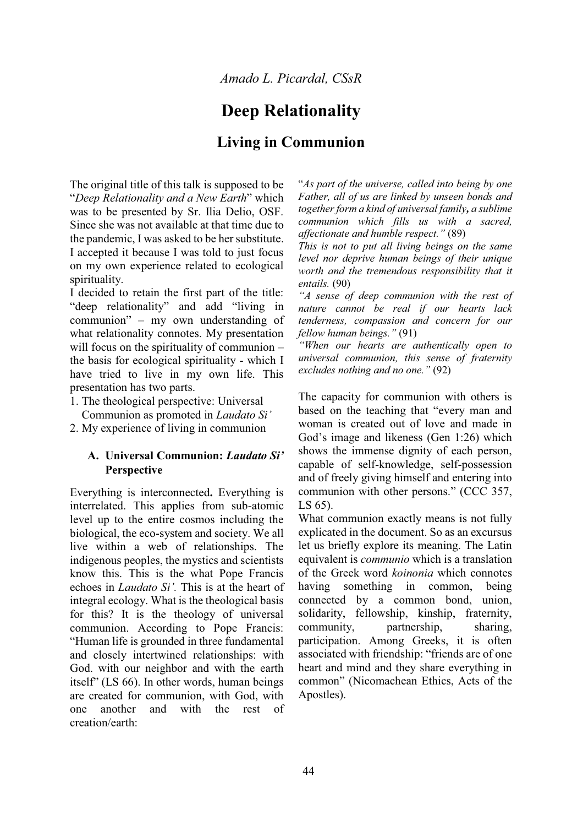# **Deep Relationality**

# **Living in Communion**

The original title of this talk is supposed to be *"Deep Relationality and a New Earth"* which was to be presented by Sr. Ilia Delio, OSF. Since she was not available at that time due to the pandemic, I was asked to be her substitute. I accepted it because I was told to just focus on my own experience related to ecological spirituality.

I decided to retain the first part of the title: "deep relationality" and add "living in communion"  $-$  my own understanding of what relationality connotes. My presentation will focus on the spirituality of communion  $$ the basis for ecological spirituality - which I have tried to live in my own life. This presentation has two parts.

- 1. The theological perspective: Universal
- Communion as promoted in *Laudato Si*'
- 2. My experience of living in communion

### A. Universal Communion: Laudato Si' **Perspective**

Everything is interconnected**.** Everything is interrelated. This applies from sub-atomic level up to the entire cosmos including the biological, the eco-system and society. We all live within a web of relationships. The indigenous peoples, the mystics and scientists know this. This is the what Pope Francis echoes in *Laudato Si'*. This is at the heart of integral ecology. What is the theological basis for this? It is the theology of universal communion. According to Pope Francis: "Human life is grounded in three fundamental and closely intertwined relationships: with God. with our neighbor and with the earth itself" (LS 66). In other words, human beings are created for communion, with God, with one another and with the rest of creation/earth:

³*As part of the universe, called into being by one Father, all of us are linked by unseen bonds and together form a kind of universal family, a sublime communion which fills us with a sacred, dffectionate and humble respect.*" (89)

*This is not to put all living beings on the same level nor deprive human beings of their unique worth and the tremendous responsibility that it entails.* (90)

*A* sense of deep communion with the rest of *nature cannot be real if our hearts lack tenderness, compassion and concern for our fellow human beings.*" (91)

*"When our hearts are authentically open to universal communion, this sense of fraternity excludes nothing and no one.*" (92)

The capacity for communion with others is based on the teaching that "every man and woman is created out of love and made in God's image and likeness (Gen  $1:26$ ) which shows the immense dignity of each person, capable of self-knowledge, self-possession and of freely giving himself and entering into communion with other persons." (CCC 357, LS 65).

What communion exactly means is not fully explicated in the document. So as an excursus let us briefly explore its meaning. The Latin equivalent is *communio* which is a translation of the Greek word *koinonia* which connotes having something in common, being connected by a common bond, union, solidarity, fellowship, kinship, fraternity, community, partnership, sharing, participation. Among Greeks, it is often associated with friendship: "friends are of one heart and mind and they share everything in common" (Nicomachean Ethics, Acts of the Apostles).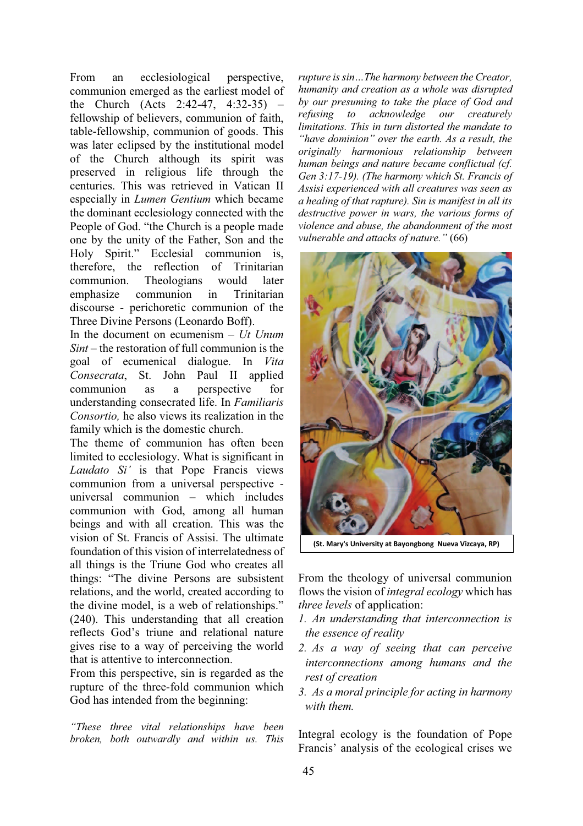From an ecclesiological perspective, communion emerged as the earliest model of the Church (Acts  $2:42-47$ ,  $4:32-35$ ) – fellowship of believers, communion of faith, table-fellowship, communion of goods. This was later eclipsed by the institutional model of the Church although its spirit was preserved in religious life through the centuries. This was retrieved in Vatican II especially in *Lumen Gentium* which became the dominant ecclesiology connected with the People of God. "the Church is a people made one by the unity of the Father, Son and the Holy Spirit." Ecclesial communion is. therefore, the reflection of Trinitarian communion. Theologians would later emphasize communion in Trinitarian discourse - perichoretic communion of the Three Divine Persons (Leonardo Boff).

In the document on ecumenism  $= *Ut*$  *Unum*  $Sint$  – the restoration of full communion is the goal of ecumenical dialogue. In *Vita Consecrata*, St. John Paul II applied communion as a perspective for understanding consecrated life. In *Familiaris Consortio,* he also views its realization in the family which is the domestic church.

The theme of communion has often been limited to ecclesiology. What is significant in *Laudato Si'* is that Pope Francis views communion from a universal perspective universal communion  $-$  which includes communion with God, among all human beings and with all creation. This was the vision of St. Francis of Assisi. The ultimate foundation of this vision of interrelatedness of all things is the Triune God who creates all things: "The divine Persons are subsistent relations, and the world, created according to the divine model, is a web of relationships." (240). This understanding that all creation reflects God's triune and relational nature gives rise to a way of perceiving the world that is attentive to interconnection.

From this perspective, sin is regarded as the rupture of the three-fold communion which God has intended from the beginning:

*"These three vital relationships have been broken, both outwardly and within us. This*  *rupture is sin...The harmony between the Creator, humanity and creation as a whole was disrupted by our presuming to take the place of God and refusing to acknowledge our creaturely limitations. This in turn distorted the mandate to*  "have dominion" over the earth. As a result, the *originally harmonious relationship between human beings and nature became conflictual (cf. Gen 3:17-19). (The harmony which St. Francis of Assisi experienced with all creatures was seen as a healing of that rapture). Sin is manifest in all its destructive power in wars, the various forms of violence and abuse, the abandonment of the most Vulnerable and attacks of nature.*" (66)



 **(St. Mary's University at Bayongbong Nueva Vizcaya, RP)**

From the theology of universal communion flows the vision of *integral ecology* which has *three levels* of application:

- *1. An understanding that interconnection is the essence of reality*
- *2. As a way of seeing that can perceive interconnections among humans and the rest of creation*
- *3. As a moral principle for acting in harmony with them.*

Integral ecology is the foundation of Pope Francis' analysis of the ecological crises we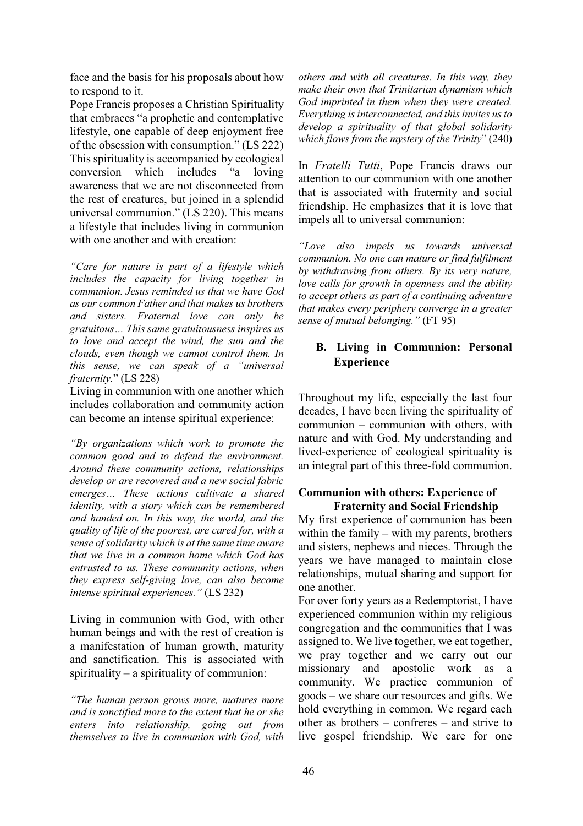face and the basis for his proposals about how to respond to it.

Pope Francis proposes a Christian Spirituality that embraces "a prophetic and contemplative lifestyle, one capable of deep enjoyment free of the obsession with consumption."  $(LS 222)$ This spirituality is accompanied by ecological  $conversion$  which includes "a loving awareness that we are not disconnected from the rest of creatures, but joined in a splendid universal communion." (LS 220). This means a lifestyle that includes living in communion with one another and with creation:

*a*Care for nature is part of a lifestyle which *includes the capacity for living together in communion. Jesus reminded us that we have God as our common Father and that makes us brothers and sisters. Fraternal love can only be*  gratuitous... This same gratuitousness inspires us *to love and accept the wind, the sun and the clouds, even though we cannot control them. In this sense, we can speak of a "universal fraternity.*" (LS 228)

Living in communion with one another which includes collaboration and community action can become an intense spiritual experience:

*aby Spanizations* which work to promote the *common good and to defend the environment. Around these community actions, relationships develop or are recovered and a new social fabric*  emerges... These actions cultivate a shared *identity, with a story which can be remembered and handed on. In this way, the world, and the quality of life of the poorest, are cared for, with a sense of solidarity which is at the same time aware that we live in a common home which God has entrusted to us. These community actions, when they express self-giving love, can also become intense spiritual experiences.*" (LS 232)

Living in communion with God, with other human beings and with the rest of creation is a manifestation of human growth, maturity and sanctification. This is associated with spirituality  $-$  a spirituality of communion:

*"The human person grows more, matures more and is sanctified more to the extent that he or she enters into relationship, going out from themselves to live in communion with God, with*  *others and with all creatures. In this way, they make their own that Trinitarian dynamism which God imprinted in them when they were created. Everything is interconnected, and this invites us to develop a spirituality of that global solidarity which flows from the mystery of the Trinity*´

In *Fratelli Tutti*, Pope Francis draws our attention to our communion with one another that is associated with fraternity and social friendship. He emphasizes that it is love that impels all to universal communion:

*also impels us towards universal communion. No one can mature or find fulfilment by withdrawing from others. By its very nature, love calls for growth in openness and the ability to accept others as part of a continuing adventure that makes every periphery converge in a greater Sense of mutual belonging.*" (FT 95)

# **B. Living in Communion: Personal Experience**

Throughout my life, especially the last four decades, I have been living the spirituality of  $common – communication with others, with$ nature and with God. My understanding and lived-experience of ecological spirituality is an integral part of this three-fold communion.

### **Communion with others: Experience of Fraternity and Social Friendship**

My first experience of communion has been within the family  $-\text{ with }$  my parents, brothers and sisters, nephews and nieces. Through the years we have managed to maintain close relationships, mutual sharing and support for one another.

For over forty years as a Redemptorist, I have experienced communion within my religious congregation and the communities that I was assigned to. We live together, we eat together, we pray together and we carry out our missionary and apostolic work as a community. We practice communion of goods ± we share our resources and gifts. We hold everything in common. We regard each other as brothers  $-\text{conferes} - \text{and}$  strive to live gospel friendship. We care for one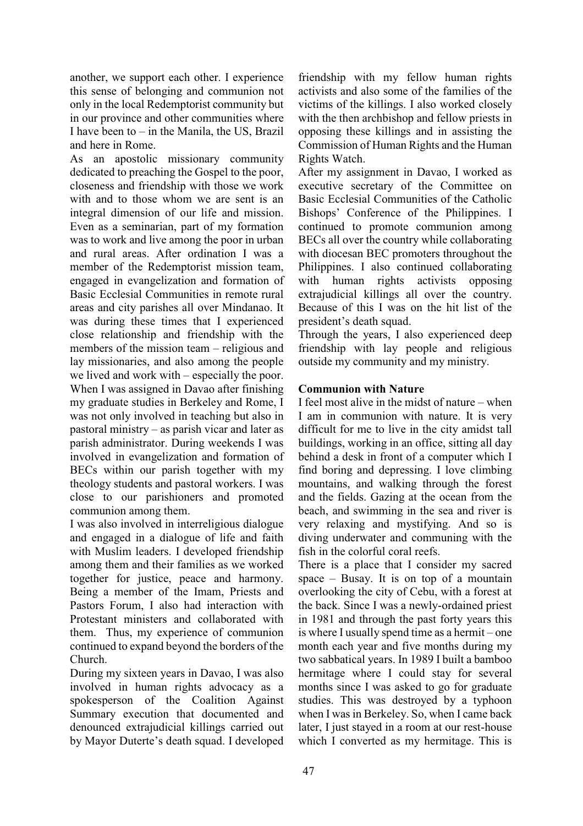another, we support each other. I experience this sense of belonging and communion not only in the local Redemptorist community but in our province and other communities where I have been to  $-\text{in}$  the Manila, the US, Brazil and here in Rome.

As an apostolic missionary community dedicated to preaching the Gospel to the poor, closeness and friendship with those we work with and to those whom we are sent is an integral dimension of our life and mission. Even as a seminarian, part of my formation was to work and live among the poor in urban and rural areas. After ordination I was a member of the Redemptorist mission team, engaged in evangelization and formation of Basic Ecclesial Communities in remote rural areas and city parishes all over Mindanao. It was during these times that I experienced close relationship and friendship with the members of the mission team  $-$  religious and lay missionaries, and also among the people we lived and work with  $-\epsilon$  especially the poor. When I was assigned in Davao after finishing my graduate studies in Berkeley and Rome, I was not only involved in teaching but also in pastoral ministry  $-\infty$  parish vicar and later as parish administrator. During weekends I was involved in evangelization and formation of BECs within our parish together with my theology students and pastoral workers. I was close to our parishioners and promoted communion among them.

I was also involved in interreligious dialogue and engaged in a dialogue of life and faith with Muslim leaders. I developed friendship among them and their families as we worked together for justice, peace and harmony. Being a member of the Imam, Priests and Pastors Forum, I also had interaction with Protestant ministers and collaborated with them. Thus, my experience of communion continued to expand beyond the borders of the Church.

During my sixteen years in Davao, I was also involved in human rights advocacy as a spokesperson of the Coalition Against Summary execution that documented and denounced extrajudicial killings carried out by Mayor Duterte's death squad. I developed

friendship with my fellow human rights activists and also some of the families of the victims of the killings. I also worked closely with the then archbishop and fellow priests in opposing these killings and in assisting the Commission of Human Rights and the Human Rights Watch.

After my assignment in Davao, I worked as executive secretary of the Committee on Basic Ecclesial Communities of the Catholic Bishops' Conference of the Philippines. I continued to promote communion among BECs all over the country while collaborating with diocesan BEC promoters throughout the Philippines. I also continued collaborating with human rights activists opposing extrajudicial killings all over the country. Because of this I was on the hit list of the president's death squad.

Through the years, I also experienced deep friendship with lay people and religious outside my community and my ministry.

## **Communion with Nature**

I feel most alive in the midst of nature  $-\omega$  when I am in communion with nature. It is very difficult for me to live in the city amidst tall buildings, working in an office, sitting all day behind a desk in front of a computer which I find boring and depressing. I love climbing mountains, and walking through the forest and the fields. Gazing at the ocean from the beach, and swimming in the sea and river is very relaxing and mystifying. And so is diving underwater and communing with the fish in the colorful coral reefs.

There is a place that I consider my sacred space  $-$  Busay. It is on top of a mountain overlooking the city of Cebu, with a forest at the back. Since I was a newly-ordained priest in 1981 and through the past forty years this is where I usually spend time as a hermit  $-\text{one}$ month each year and five months during my two sabbatical years. In 1989 I built a bamboo hermitage where I could stay for several months since I was asked to go for graduate studies. This was destroyed by a typhoon when I was in Berkeley. So, when I came back later, I just stayed in a room at our rest-house which I converted as my hermitage. This is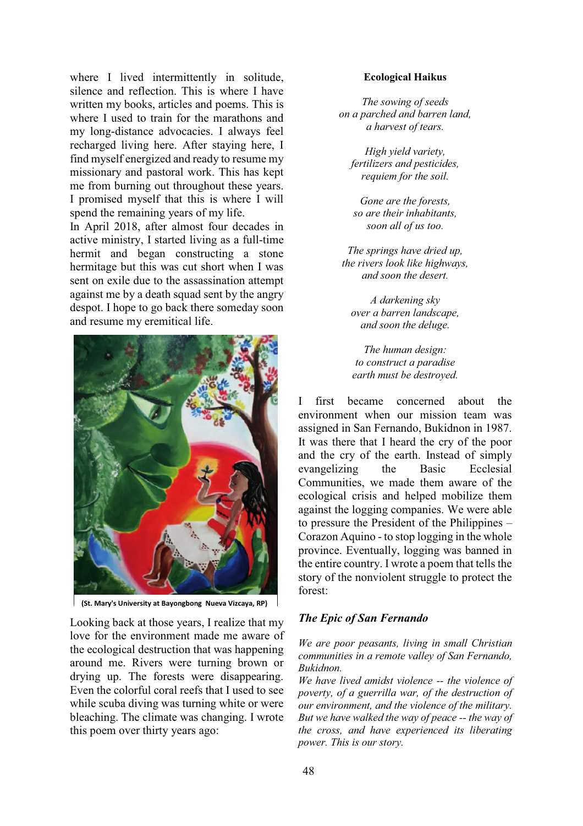where I lived intermittently in solitude, silence and reflection. This is where I have written my books, articles and poems. This is where I used to train for the marathons and my long-distance advocacies. I always feel recharged living here. After staying here, I find myself energized and ready to resume my missionary and pastoral work. This has kept me from burning out throughout these years. I promised myself that this is where I will spend the remaining years of my life.

In April 2018, after almost four decades in active ministry, I started living as a full-time hermit and began constructing a stone hermitage but this was cut short when I was sent on exile due to the assassination attempt against me by a death squad sent by the angry despot. I hope to go back there someday soon and resume my eremitical life.



**(St. Mary's University at Bayongbong Nueva Vizcaya, RP)**

Looking back at those years, I realize that my love for the environment made me aware of the ecological destruction that was happening around me. Rivers were turning brown or drying up. The forests were disappearing. Even the colorful coral reefs that I used to see while scuba diving was turning white or were bleaching. The climate was changing. I wrote this poem over thirty years ago:

#### **Ecological Haikus**

*The sowing of seeds on a parched and barren land, a harvest of tears.*

*High yield variety, fertilizers and pesticides, requiem for the soil.*

*Gone are the forests, so are their inhabitants, soon all of us too.*

*The springs have dried up, the rivers look like highways, and soon the desert.*

*A darkening sky over a barren landscape, and soon the deluge.*

*The human design: to construct a paradise earth must be destroyed.*

I first became concerned about the environment when our mission team was assigned in San Fernando, Bukidnon in 1987. It was there that I heard the cry of the poor and the cry of the earth. Instead of simply<br>evangelizing the Basic Ecclesial evangelizing the Basic Ecclesial Communities, we made them aware of the ecological crisis and helped mobilize them against the logging companies. We were able to pressure the President of the Philippines  $-$ Corazon Aquino - to stop logging in the whole province. Eventually, logging was banned in the entire country. I wrote a poem that tells the story of the nonviolent struggle to protect the forest:

#### *The Epic of San Fernando*

#### *We are poor peasants, living in small Christian communities in a remote valley of San Fernando, Bukidnon.*

*We have lived amidst violence -- the violence of poverty, of a guerrilla war, of the destruction of our environment, and the violence of the military. But we have walked the way of peace -- the way of the cross, and have experienced its liberating power. This is our story.*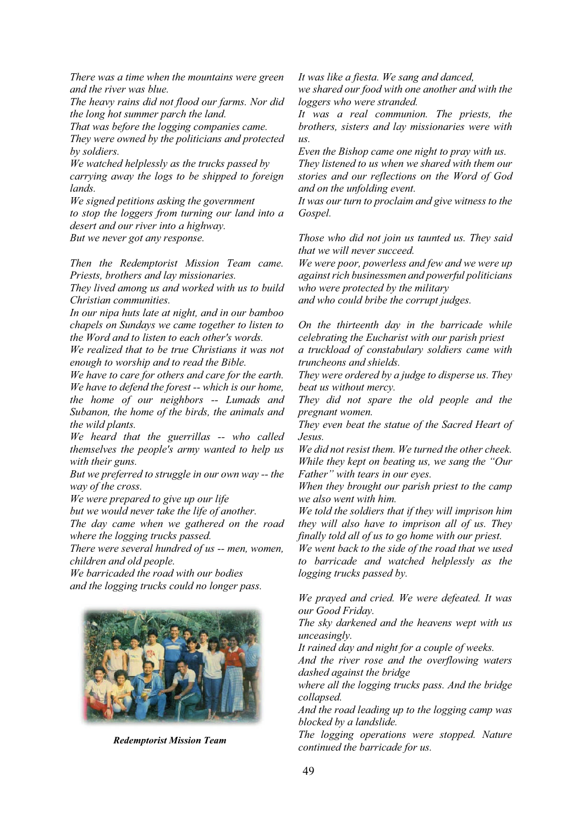*There was a time when the mountains were green and the river was blue.*

*The heavy rains did not flood our farms. Nor did the long hot summer parch the land.*

*That was before the logging companies came. They were owned by the politicians and protected by soldiers.*

*We watched helplessly as the trucks passed by carrying away the logs to be shipped to foreign lands.*

*We signed petitions asking the government to stop the loggers from turning our land into a desert and our river into a highway.*

*But we never got any response.*

*Then the Redemptorist Mission Team came. Priests, brothers and lay missionaries.*

*They lived among us and worked with us to build Christian communities.*

*In our nipa huts late at night, and in our bamboo chapels on Sundays we came together to listen to the Word and to listen to each other's words.*

*We realized that to be true Christians it was not enough to worship and to read the Bible.*

*We have to care for others and care for the earth. We have to defend the forest -- which is our home, the home of our neighbors -- Lumads and Subanon, the home of the birds, the animals and the wild plants.*

*We heard that the guerrillas -- who called themselves the people's army wanted to help us with their guns.*

*But we preferred to struggle in our own way -- the way of the cross.*

*We were prepared to give up our life*

*but we would never take the life of another.*

*The day came when we gathered on the road where the logging trucks passed.*

*There were several hundred of us -- men, women, children and old people.*

*We barricaded the road with our bodies and the logging trucks could no longer pass.*



*It was like a fiesta. We sang and danced,*

*we shared our food with one another and with the loggers who were stranded.*

*It was a real communion. The priests, the brothers, sisters and lay missionaries were with us.*

*Even the Bishop came one night to pray with us. They listened to us when we shared with them our stories and our reflections on the Word of God and on the unfolding event.*

*It was our turn to proclaim and give witness to the Gospel.*

*Those who did not join us taunted us. They said that we will never succeed.*

*We were poor, powerless and few and we were up against rich businessmen and powerful politicians who were protected by the military and who could bribe the corrupt judges.*

*On the thirteenth day in the barricade while celebrating the Eucharist with our parish priest a truckload of constabulary soldiers came with truncheons and shields.*

*They were ordered by a judge to disperse us. They beat us without mercy.* 

*They did not spare the old people and the pregnant women.* 

*They even beat the statue of the Sacred Heart of Jesus.*

*We did not resist them. We turned the other cheek. While they kept on beating us, we sang the "Our Father*" with tears in our eyes.

*When they brought our parish priest to the camp we also went with him.* 

*We told the soldiers that if they will imprison him they will also have to imprison all of us. They finally told all of us to go home with our priest.*

*We went back to the side of the road that we used to barricade and watched helplessly as the logging trucks passed by.*

*We prayed and cried. We were defeated. It was our Good Friday.* 

*The sky darkened and the heavens wept with us unceasingly.*

*It rained day and night for a couple of weeks.* 

*And the river rose and the overflowing waters dashed against the bridge* 

*where all the logging trucks pass. And the bridge collapsed.*

*And the road leading up to the logging camp was blocked by a landslide.*

*The logging operations were stopped. Nature continued the barricade for us. Redemptorist Mission Team*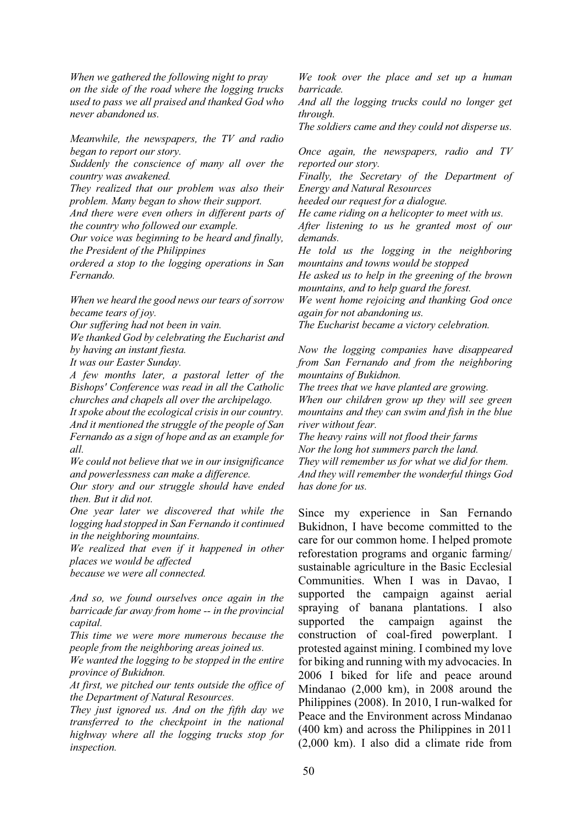*When we gathered the following night to pray on the side of the road where the logging trucks used to pass we all praised and thanked God who never abandoned us.*

*Meanwhile, the newspapers, the TV and radio began to report our story.*

*Suddenly the conscience of many all over the country was awakened.*

*They realized that our problem was also their problem. Many began to show their support.*

*And there were even others in different parts of the country who followed our example.*

*Our voice was beginning to be heard and finally, the President of the Philippines* 

*ordered a stop to the logging operations in San Fernando.*

*When we heard the good news our tears of sorrow became tears of joy.*

*Our suffering had not been in vain.*

*We thanked God by celebrating the Eucharist and by having an instant fiesta.*

*It was our Easter Sunday.*

*A few months later, a pastoral letter of the Bishops' Conference was read in all the Catholic churches and chapels all over the archipelago.*

*It spoke about the ecological crisis in our country. And it mentioned the struggle of the people of San Fernando as a sign of hope and as an example for all.*

*We could not believe that we in our insignificance and powerlessness can make a difference.*

*Our story and our struggle should have ended then. But it did not.*

*One year later we discovered that while the logging had stopped in San Fernando it continued in the neighboring mountains.*

*We realized that even if it happened in other places we would be affected* 

*because we were all connected.*

*And so, we found ourselves once again in the barricade far away from home -- in the provincial capital.*

*This time we were more numerous because the people from the neighboring areas joined us.*

*We wanted the logging to be stopped in the entire province of Bukidnon.*

*At first, we pitched our tents outside the office of the Department of Natural Resources.*

*They just ignored us. And on the fifth day we transferred to the checkpoint in the national highway where all the logging trucks stop for inspection.* 

*We took over the place and set up a human barricade.*

*And all the logging trucks could no longer get through.*

*The soldiers came and they could not disperse us.*

*Once again, the newspapers, radio and TV reported our story.*

*Finally, the Secretary of the Department of Energy and Natural Resources* 

*heeded our request for a dialogue.*

*He came riding on a helicopter to meet with us.*

*After listening to us he granted most of our demands.*

*He told us the logging in the neighboring mountains and towns would be stopped* 

*He asked us to help in the greening of the brown mountains, and to help guard the forest.*

*We went home rejoicing and thanking God once again for not abandoning us.*

*The Eucharist became a victory celebration.*

*Now the logging companies have disappeared from San Fernando and from the neighboring mountains of Bukidnon.*

*The trees that we have planted are growing.*

*When our children grow up they will see green mountains and they can swim and fish in the blue river without fear.*

*The heavy rains will not flood their farms Nor the long hot summers parch the land. They will remember us for what we did for them. And they will remember the wonderful things God has done for us.*

Since my experience in San Fernando Bukidnon, I have become committed to the care for our common home. I helped promote reforestation programs and organic farming/ sustainable agriculture in the Basic Ecclesial Communities. When I was in Davao, I supported the campaign against aerial spraying of banana plantations. I also supported the campaign against the construction of coal-fired powerplant. I protested against mining. I combined my love for biking and running with my advocacies. In 2006 I biked for life and peace around Mindanao (2,000 km), in 2008 around the Philippines (2008). In 2010, I run-walked for Peace and the Environment across Mindanao (400 km) and across the Philippines in 2011 (2,000 km). I also did a climate ride from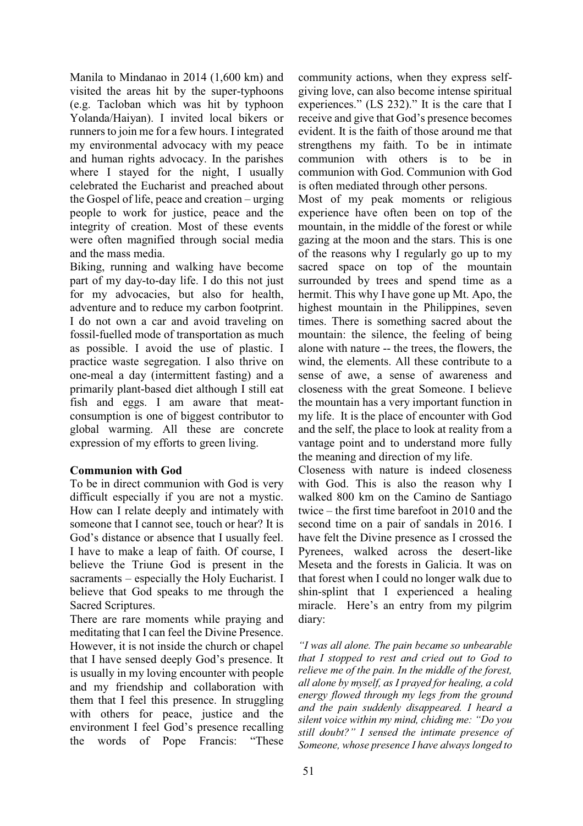Manila to Mindanao in 2014 (1,600 km) and visited the areas hit by the super-typhoons (e.g. Tacloban which was hit by typhoon Yolanda/Haiyan). I invited local bikers or runners to join me for a few hours. I integrated my environmental advocacy with my peace and human rights advocacy. In the parishes where I stayed for the night, I usually celebrated the Eucharist and preached about the Gospel of life, peace and creation  $-\,\text{urging}$ people to work for justice, peace and the integrity of creation. Most of these events were often magnified through social media and the mass media.

Biking, running and walking have become part of my day-to-day life. I do this not just for my advocacies, but also for health, adventure and to reduce my carbon footprint. I do not own a car and avoid traveling on fossil-fuelled mode of transportation as much as possible. I avoid the use of plastic. I practice waste segregation. I also thrive on one-meal a day (intermittent fasting) and a primarily plant-based diet although I still eat fish and eggs. I am aware that meatconsumption is one of biggest contributor to global warming. All these are concrete expression of my efforts to green living.

### **Communion with God**

To be in direct communion with God is very difficult especially if you are not a mystic. How can I relate deeply and intimately with someone that I cannot see, touch or hear? It is God's distance or absence that I usually feel. I have to make a leap of faith. Of course, I believe the Triune God is present in the sacraments  $-$  especially the Holy Eucharist. I believe that God speaks to me through the Sacred Scriptures.

There are rare moments while praying and meditating that I can feel the Divine Presence. However, it is not inside the church or chapel that I have sensed deeply God's presence. It is usually in my loving encounter with people and my friendship and collaboration with them that I feel this presence. In struggling with others for peace, justice and the environment I feel God's presence recalling the words of Pope Francis: "These community actions, when they express selfgiving love, can also become intense spiritual experiences." (LS 232)." It is the care that I receive and give that God's presence becomes evident. It is the faith of those around me that strengthens my faith. To be in intimate communion with others is to be in communion with God. Communion with God is often mediated through other persons.

Most of my peak moments or religious experience have often been on top of the mountain, in the middle of the forest or while gazing at the moon and the stars. This is one of the reasons why I regularly go up to my sacred space on top of the mountain surrounded by trees and spend time as a hermit. This why I have gone up Mt. Apo, the highest mountain in the Philippines, seven times. There is something sacred about the mountain: the silence, the feeling of being alone with nature -- the trees, the flowers, the wind, the elements. All these contribute to a sense of awe, a sense of awareness and closeness with the great Someone. I believe the mountain has a very important function in my life. It is the place of encounter with God and the self, the place to look at reality from a vantage point and to understand more fully the meaning and direction of my life.

Closeness with nature is indeed closeness with God. This is also the reason why I walked 800 km on the Camino de Santiago twice  $-$  the first time barefoot in 2010 and the second time on a pair of sandals in 2016. I have felt the Divine presence as I crossed the Pyrenees, walked across the desert-like Meseta and the forests in Galicia. It was on that forest when I could no longer walk due to shin-splint that I experienced a healing miracle. Here's an entry from my pilgrim diary:

*''I was all alone. The pain became so unbearable that I stopped to rest and cried out to God to relieve me of the pain. In the middle of the forest, all alone by myself, as I prayed for healing, a cold energy flowed through my legs from the ground and the pain suddenly disappeared. I heard a silent voice within my mind, chiding me: "Do you still doubt?" I sensed the intimate presence of Someone, whose presence I have always longed to*